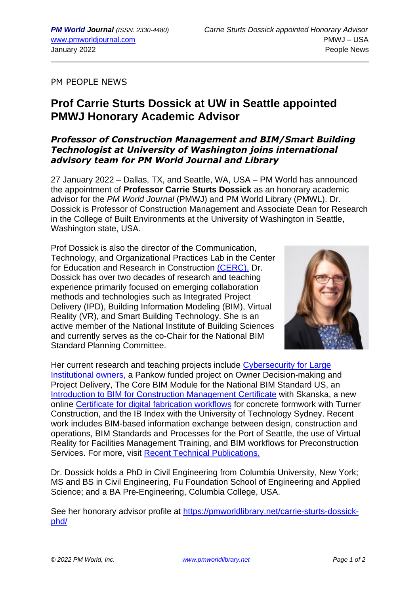PM PEOPLE NEWS

## **Prof Carrie Sturts Dossick at UW in Seattle appointed PMWJ Honorary Academic Advisor**

## *Professor of Construction Management and BIM/Smart Building Technologist at University of Washington joins international advisory team for PM World Journal and Library*

27 January 2022 – Dallas, TX, and Seattle, WA, USA – PM World has announced the appointment of **Professor Carrie Sturts Dossick** as an honorary academic advisor for the *PM World Journal* (PMWJ) and PM World Library (PMWL). Dr. Dossick is Professor of Construction Management and Associate Dean for Research in the College of Built Environments at the University of Washington in Seattle, Washington state, USA.

Prof Dossick is also the director of the Communication, Technology, and Organizational Practices Lab in the Center for Education and Research in Construction [\(CERC\).](http://cm.hive.be.washington.edu/cerc/) Dr. Dossick has over two decades of research and teaching experience primarily focused on emerging collaboration methods and technologies such as Integrated Project Delivery (IPD), Building Information Modeling (BIM), Virtual Reality (VR), and Smart Building Technology. She is an active member of the National Institute of Building Sciences and currently serves as the co-Chair for the National BIM Standard Planning Committee.



Her current research and teaching projects include [Cybersecurity](https://sites.google.com/uw.edu/ctop-iot-collaboration/home) for Large [Institutional](https://sites.google.com/uw.edu/ctop-iot-collaboration/home) owners, a Pankow funded project on Owner Decision-making and Project Delivery, The Core BIM Module for the National BIM Standard US, an Introduction to BIM for Construction [Management](https://cerc.be.uw.edu/bim-certificate/) Certificate with Skanska, a new online Certificate for digital [fabrication](https://cerc.be.uw.edu/vmdf-certificate/) workflows for concrete formwork with Turner Construction, and the IB Index with the University of Technology Sydney. Recent work includes BIM-based information exchange between design, construction and operations, BIM Standards and Processes for the Port of Seattle, the use of Virtual Reality for Facilities Management Training, and BIM workflows for Preconstruction Services. For more, visit Recent Technical [Publications.](http://cm.be.uw.edu/cerc/research-publications/)

Dr. Dossick holds a PhD in Civil Engineering from Columbia University, New York; MS and BS in Civil Engineering, Fu Foundation School of Engineering and Applied Science; and a BA Pre-Engineering, Columbia College, USA.

See her honorary advisor profile at https://pmworldlibrary.net/carrie-sturts-dossickphd/